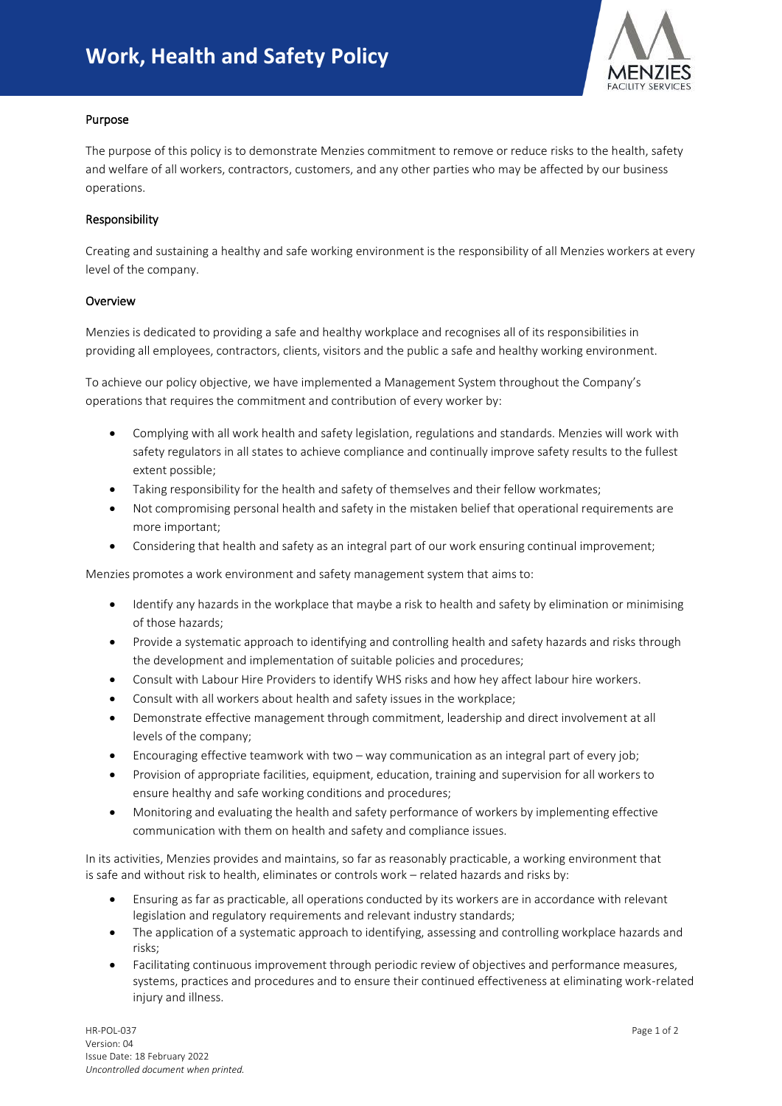

## Purpose

I

The purpose of this policy is to demonstrate Menzies commitment to remove or reduce risks to the health, safety and welfare of all workers, contractors, customers, and any other parties who may be affected by our business operations.

## Responsibility

Creating and sustaining a healthy and safe working environment is the responsibility of all Menzies workers at every level of the company.

## Overview

Menzies is dedicated to providing a safe and healthy workplace and recognises all of its responsibilities in providing all employees, contractors, clients, visitors and the public a safe and healthy working environment.

To achieve our policy objective, we have implemented a Management System throughout the Company's operations that requires the commitment and contribution of every worker by:

- Complying with all work health and safety legislation, regulations and standards. Menzies will work with safety regulators in all states to achieve compliance and continually improve safety results to the fullest extent possible;
- Taking responsibility for the health and safety of themselves and their fellow workmates;
- Not compromising personal health and safety in the mistaken belief that operational requirements are more important;
- Considering that health and safety as an integral part of our work ensuring continual improvement;

Menzies promotes a work environment and safety management system that aims to:

- Identify any hazards in the workplace that maybe a risk to health and safety by elimination or minimising of those hazards;
- Provide a systematic approach to identifying and controlling health and safety hazards and risks through the development and implementation of suitable policies and procedures;
- Consult with Labour Hire Providers to identify WHS risks and how hey affect labour hire workers.
- Consult with all workers about health and safety issues in the workplace;
- Demonstrate effective management through commitment, leadership and direct involvement at all levels of the company;
- Encouraging effective teamwork with two way communication as an integral part of every job;
- Provision of appropriate facilities, equipment, education, training and supervision for all workers to ensure healthy and safe working conditions and procedures;
- Monitoring and evaluating the health and safety performance of workers by implementing effective communication with them on health and safety and compliance issues.

In its activities, Menzies provides and maintains, so far as reasonably practicable, a working environment that is safe and without risk to health, eliminates or controls work – related hazards and risks by:

- Ensuring as far as practicable, all operations conducted by its workers are in accordance with relevant legislation and regulatory requirements and relevant industry standards;
- The application of a systematic approach to identifying, assessing and controlling workplace hazards and risks;
- Facilitating continuous improvement through periodic review of objectives and performance measures, systems, practices and procedures and to ensure their continued effectiveness at eliminating work-related injury and illness.